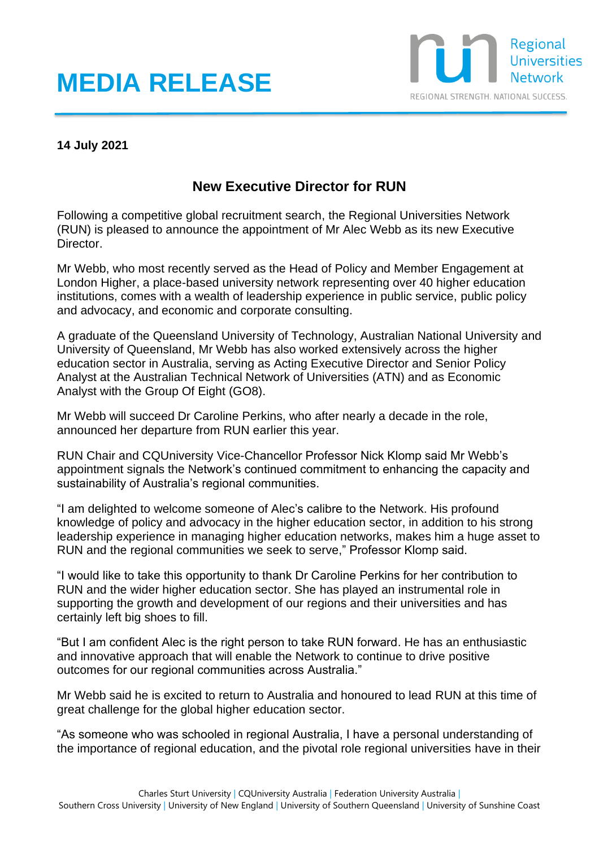## **MEDIA RELEASE**



## **14 July 2021**

## **New Executive Director for RUN**

Following a competitive global recruitment search, the Regional Universities Network (RUN) is pleased to announce the appointment of Mr Alec Webb as its new Executive Director.

Mr Webb, who most recently served as the Head of Policy and Member Engagement at London Higher, a place-based university network representing over 40 higher education institutions, comes with a wealth of leadership experience in public service, public policy and advocacy, and economic and corporate consulting.

A graduate of the Queensland University of Technology, Australian National University and University of Queensland, Mr Webb has also worked extensively across the higher education sector in Australia, serving as Acting Executive Director and Senior Policy Analyst at the Australian Technical Network of Universities (ATN) and as Economic Analyst with the Group Of Eight (GO8).

Mr Webb will succeed Dr Caroline Perkins, who after nearly a decade in the role, announced her departure from RUN earlier this year.

RUN Chair and CQUniversity Vice-Chancellor Professor Nick Klomp said Mr Webb's appointment signals the Network's continued commitment to enhancing the capacity and sustainability of Australia's regional communities.

"I am delighted to welcome someone of Alec's calibre to the Network. His profound knowledge of policy and advocacy in the higher education sector, in addition to his strong leadership experience in managing higher education networks, makes him a huge asset to RUN and the regional communities we seek to serve," Professor Klomp said.

"I would like to take this opportunity to thank Dr Caroline Perkins for her contribution to RUN and the wider higher education sector. She has played an instrumental role in supporting the growth and development of our regions and their universities and has certainly left big shoes to fill.

"But I am confident Alec is the right person to take RUN forward. He has an enthusiastic and innovative approach that will enable the Network to continue to drive positive outcomes for our regional communities across Australia."

Mr Webb said he is excited to return to Australia and honoured to lead RUN at this time of great challenge for the global higher education sector.

"As someone who was schooled in regional Australia, I have a personal understanding of the importance of regional education, and the pivotal role regional universities have in their